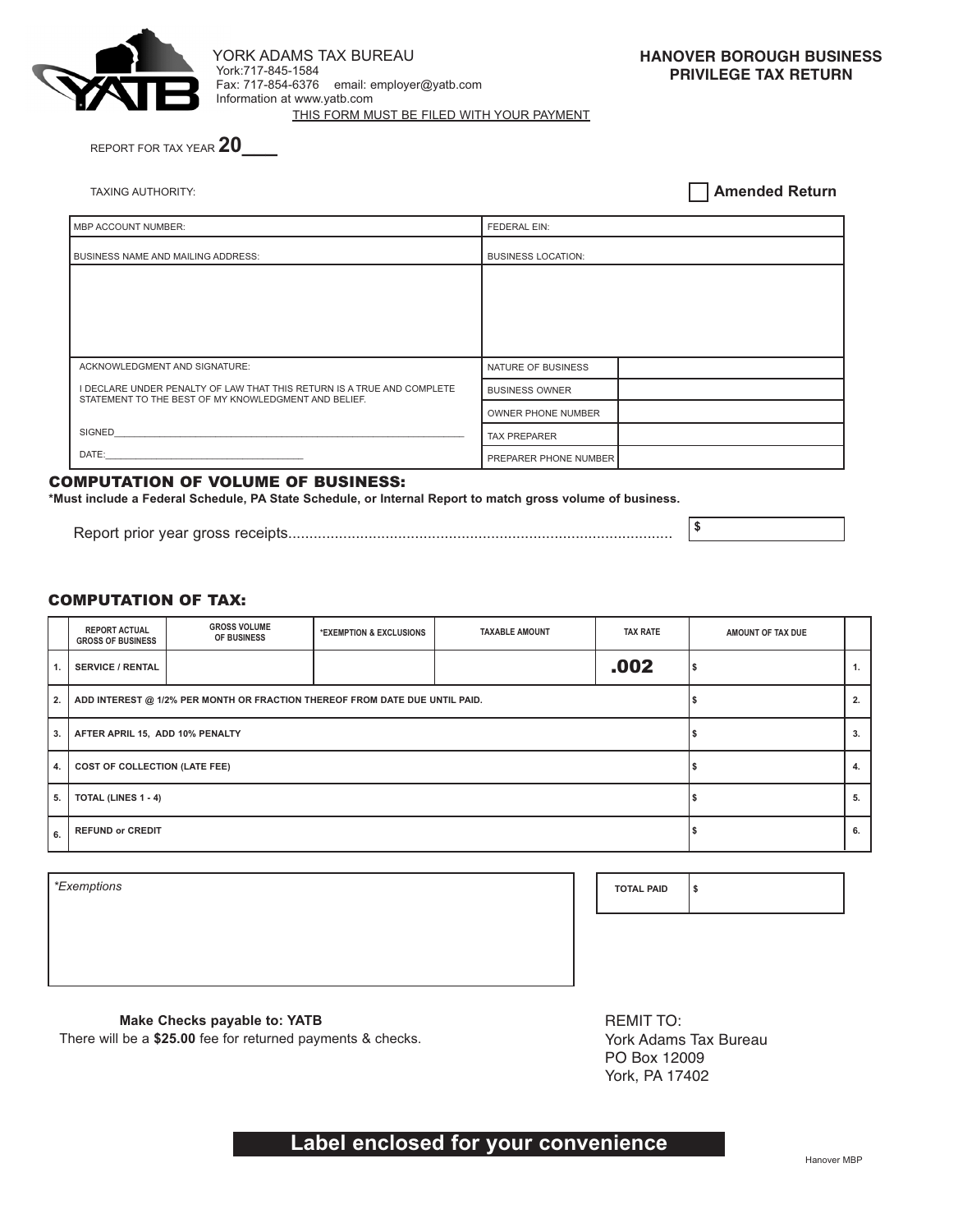

York:717-845-1584 Fax: 717-854-6376 email: employer@yatb.com Information at www.yatb.com THIS FORM MUST BE FILED WITH YOUR PAYMENT YORK ADAMS TAX BUREAU

**HANOVER BOROUGH BUSINESS PRIVILEGE TAX RETURN**

REPORT FOR TAX YEAR **20\_\_\_**

TAXING AUTHORITY:

**Amended Return**

| MBP ACCOUNT NUMBER:                                                                                                            | <b>FEDERAL EIN:</b>          |  |  |
|--------------------------------------------------------------------------------------------------------------------------------|------------------------------|--|--|
| <b>BUSINESS NAME AND MAILING ADDRESS:</b>                                                                                      | <b>BUSINESS LOCATION:</b>    |  |  |
|                                                                                                                                |                              |  |  |
|                                                                                                                                |                              |  |  |
|                                                                                                                                |                              |  |  |
|                                                                                                                                |                              |  |  |
| ACKNOWLEDGMENT AND SIGNATURE:                                                                                                  | NATURE OF BUSINESS           |  |  |
| I DECLARE UNDER PENALTY OF LAW THAT THIS RETURN IS A TRUE AND COMPLETE<br>STATEMENT TO THE BEST OF MY KNOWLEDGMENT AND BELIEF. | <b>BUSINESS OWNER</b>        |  |  |
|                                                                                                                                | OWNER PHONE NUMBER           |  |  |
| SIGNED                                                                                                                         | <b>TAX PREPARER</b>          |  |  |
| DATE:                                                                                                                          | <b>PREPARER PHONE NUMBER</b> |  |  |

#### COMPUTATION OF VOLUME OF BUSINESS:

**\*Must include a Federal Schedule, PA State Schedule, or Internal Report to match gross volume of business.**

**\$** Report prior year gross receipts...........................................................................................

### COMPUTATION OF TAX:

|                                            | <b>REPORT ACTUAL</b><br><b>GROSS OF BUSINESS</b>                            | <b>GROSS VOLUME</b><br>OF BUSINESS | *EXEMPTION & EXCLUSIONS | <b>TAXABLE AMOUNT</b> | <b>TAX RATE</b> | AMOUNT OF TAX DUE |                |
|--------------------------------------------|-----------------------------------------------------------------------------|------------------------------------|-------------------------|-----------------------|-----------------|-------------------|----------------|
| $\mathbf{1}$ .                             | <b>SERVICE / RENTAL</b>                                                     |                                    |                         |                       | .002            |                   | $\mathbf{1}$ . |
| 2.                                         | ADD INTEREST @ 1/2% PER MONTH OR FRACTION THEREOF FROM DATE DUE UNTIL PAID. |                                    |                         |                       |                 |                   | 2.             |
| 3.                                         | AFTER APRIL 15, ADD 10% PENALTY                                             |                                    |                         |                       |                 |                   | 3.             |
| 4.<br><b>COST OF COLLECTION (LATE FEE)</b> |                                                                             |                                    |                         |                       |                 | 4.                |                |
| 5.                                         | <b>TOTAL (LINES 1 - 4)</b>                                                  |                                    |                         |                       |                 | 5.                |                |
| 6.                                         | <b>REFUND or CREDIT</b>                                                     |                                    |                         |                       |                 | 6.                |                |

| *Exemptions | <b>TOTAL PAID</b> | ۱s |
|-------------|-------------------|----|
|             |                   |    |
|             |                   |    |

### **Make Checks payable to: YATB**

There will be a **\$25.00** fee for returned payments & checks.

REMIT TO: York Adams Tax Bureau PO Box 12009 York, PA 17402

# **Label enclosed for your convenience**